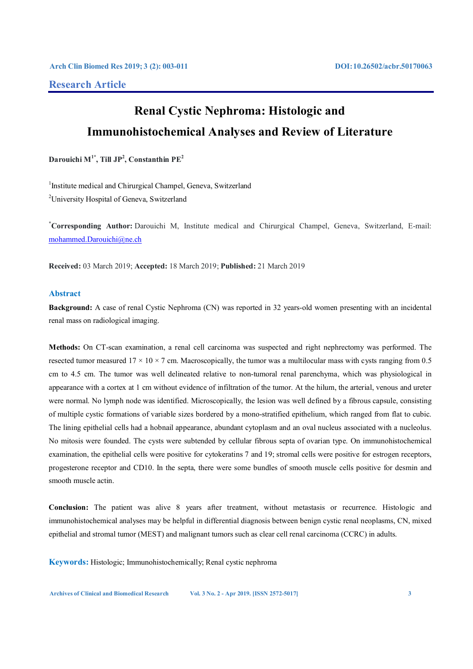## **Research Article**

# **Renal Cystic Nephroma: Histologic and Immunohistochemical Analyses and Review of Literature**

 $\mathbf{D}$ arouichi M $^{1^*}$ , Till JP<sup>2</sup>, Constanthin PE<sup>2</sup>

<sup>1</sup>Institute medical and Chirurgical Champel, Geneva, Switzerland <sup>2</sup>University Hospital of Geneva, Switzerland

**\* Corresponding Author:** Darouichi M, Institute medical and Chirurgical Champel, Geneva, Switzerland, E-mail: mohammed.Darouichi@ne.ch

**Received:** 03 March 2019; **Accepted:** 18 March 2019; **Published:** 21 March 2019

### **Abstract**

**Background:** A case of renal Cystic Nephroma (CN) was reported in 32 years-old women presenting with an incidental renal mass on radiological imaging.

**Methods:** On CT-scan examination, a renal cell carcinoma was suspected and right nephrectomy was performed. The resected tumor measured  $17 \times 10 \times 7$  cm. Macroscopically, the tumor was a multilocular mass with cysts ranging from 0.5 cm to 4.5 cm. The tumor was well delineated relative to non-tumoral renal parenchyma, which was physiological in appearance with a cortex at 1 cm without evidence of infiltration of the tumor. At the hilum, the arterial, venous and ureter were normal. No lymph node was identified. Microscopically, the lesion was well defined by a fibrous capsule, consisting of multiple cystic formations of variable sizes bordered by a mono-stratified epithelium, which ranged from flat to cubic. The lining epithelial cells had a hobnail appearance, abundant cytoplasm and an oval nucleus associated with a nucleolus. No mitosis were founded. The cysts were subtended by cellular fibrous septa of ovarian type. On immunohistochemical examination, the epithelial cells were positive for cytokeratins 7 and 19; stromal cells were positive for estrogen receptors, progesterone receptor and CD10. In the septa, there were some bundles of smooth muscle cells positive for desmin and smooth muscle actin.

**Conclusion:** The patient was alive 8 years after treatment, without metastasis or recurrence. Histologic and immunohistochemical analyses may be helpful in differential diagnosis between benign cystic renal neoplasms, CN, mixed epithelial and stromal tumor (MEST) and malignant tumors such as clear cell renal carcinoma (CCRC) in adults.

**Keywords:** Histologic; Immunohistochemically; Renal cystic nephroma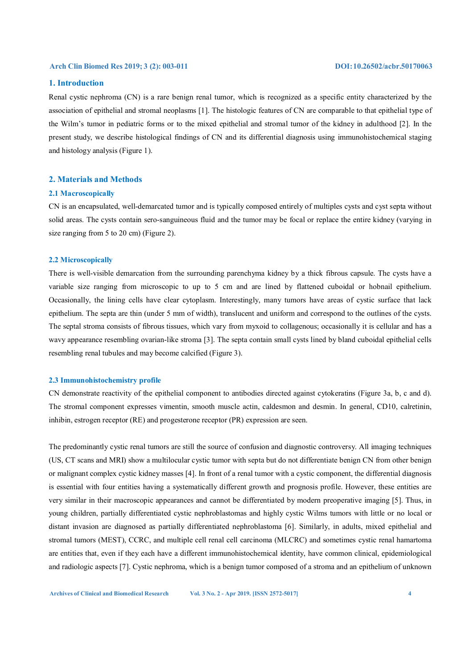### **1. Introduction**

Renal cystic nephroma (CN) is a rare benign renal tumor, which is recognized as a specific entity characterized by the association of epithelial and stromal neoplasms [1]. The histologic features of CN are comparable to that epithelial type of the Wilm's tumor in pediatric forms or to the mixed epithelial and stromal tumor of the kidney in adulthood [2]. In the present study, we describe histological findings of CN and its differential diagnosis using immunohistochemical staging and histology analysis (Figure 1).

### **2. Materials and Methods**

#### **2.1 Macroscopically**

CN is an encapsulated, well-demarcated tumor and is typically composed entirely of multiples cysts and cyst septa without solid areas. The cysts contain sero-sanguineous fluid and the tumor may be focal or replace the entire kidney (varying in size ranging from 5 to 20 cm) (Figure 2).

#### **2.2 Microscopically**

There is well-visible demarcation from the surrounding parenchyma kidney by a thick fibrous capsule. The cysts have a variable size ranging from microscopic to up to 5 cm and are lined by flattened cuboidal or hobnail epithelium. Occasionally, the lining cells have clear cytoplasm. Interestingly, many tumors have areas of cystic surface that lack epithelium. The septa are thin (under 5 mm of width), translucent and uniform and correspond to the outlines of the cysts. The septal stroma consists of fibrous tissues, which vary from myxoid to collagenous; occasionally it is cellular and has a wavy appearance resembling ovarian-like stroma [3]. The septa contain small cysts lined by bland cuboidal epithelial cells resembling renal tubules and may become calcified (Figure 3).

#### **2.3 Immunohistochemistry profile**

CN demonstrate reactivity of the epithelial component to antibodies directed against cytokeratins (Figure 3a, b, c and d). The stromal component expresses vimentin, smooth muscle actin, caldesmon and desmin. In general, CD10, calretinin, inhibin, estrogen receptor (RE) and progesterone receptor (PR) expression are seen.

The predominantly cystic renal tumors are still the source of confusion and diagnostic controversy. All imaging techniques (US, CT scans and MRI) show a multilocular cystic tumor with septa but do not differentiate benign CN from other benign or malignant complex cystic kidney masses [4]. In front of a renal tumor with a cystic component, the differential diagnosis is essential with four entities having a systematically different growth and prognosis profile. However, these entities are very similar in their macroscopic appearances and cannot be differentiated by modern preoperative imaging [5]. Thus, in young children, partially differentiated cystic nephroblastomas and highly cystic Wilms tumors with little or no local or distant invasion are diagnosed as partially differentiated nephroblastoma [6]. Similarly, in adults, mixed epithelial and stromal tumors (MEST), CCRC, and multiple cell renal cell carcinoma (MLCRC) and sometimes cystic renal hamartoma are entities that, even if they each have a different immunohistochemical identity, have common clinical, epidemiological and radiologic aspects [7]. Cystic nephroma, which is a benign tumor composed of a stroma and an epithelium of unknown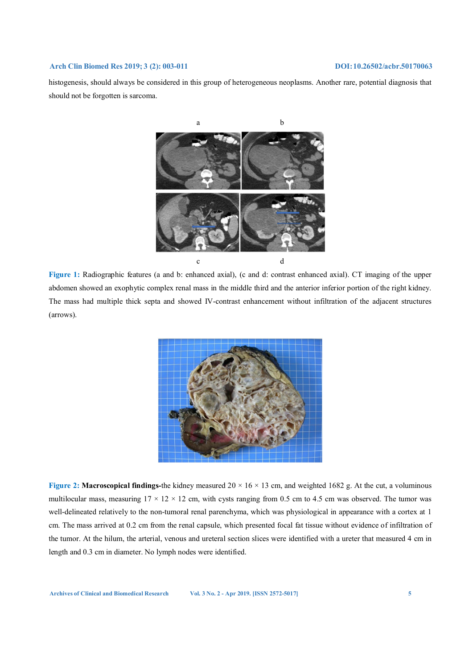histogenesis, should always be considered in this group of heterogeneous neoplasms. Another rare, potential diagnosis that should not be forgotten is sarcoma.



**Figure 1:** Radiographic features (a and b: enhanced axial), (c and d: contrast enhanced axial). CT imaging of the upper abdomen showed an exophytic complex renal mass in the middle third and the anterior inferior portion of the right kidney. The mass had multiple thick septa and showed IV-contrast enhancement without infiltration of the adjacent structures (arrows).



**Figure 2: Macroscopical findings-**the kidney measured 20 × 16 × 13 cm, and weighted 1682 g. At the cut, a voluminous multilocular mass, measuring  $17 \times 12 \times 12$  cm, with cysts ranging from 0.5 cm to 4.5 cm was observed. The tumor was well-delineated relatively to the non-tumoral renal parenchyma, which was physiological in appearance with a cortex at 1 cm. The mass arrived at 0.2 cm from the renal capsule, which presented focal fat tissue without evidence of infiltration of the tumor. At the hilum, the arterial, venous and ureteral section slices were identified with a ureter that measured 4 cm in length and 0.3 cm in diameter. No lymph nodes were identified.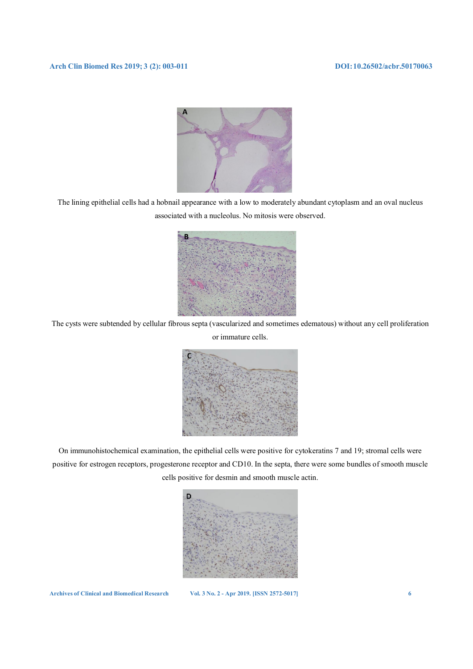

The lining epithelial cells had a hobnail appearance with a low to moderately abundant cytoplasm and an oval nucleus associated with a nucleolus. No mitosis were observed.



The cysts were subtended by cellular fibrous septa (vascularized and sometimes edematous) without any cell proliferation or immature cells.



On immunohistochemical examination, the epithelial cells were positive for cytokeratins 7 and 19; stromal cells were positive for estrogen receptors, progesterone receptor and CD10. In the septa, there were some bundles of smooth muscle cells positive for desmin and smooth muscle actin.

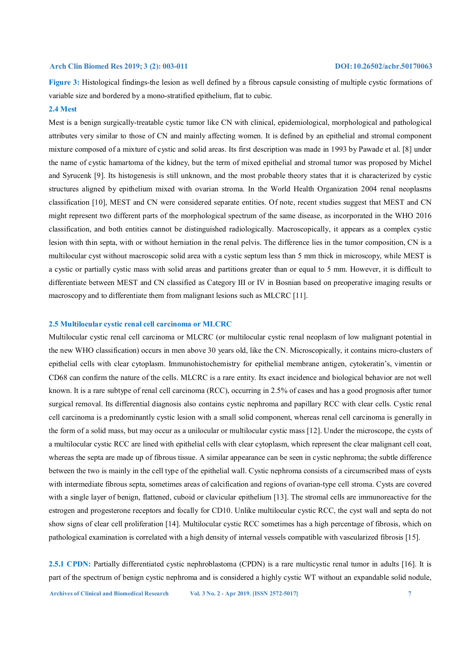**Figure 3:** Histological findings-the lesion as well defined by a fibrous capsule consisting of multiple cystic formations of variable size and bordered by a mono-stratified epithelium, flat to cubic.

#### **2.4 Mest**

Mest is a benign surgically-treatable cystic tumor like CN with clinical, epidemiological, morphological and pathological attributes very similar to those of CN and mainly affecting women. It is defined by an epithelial and stromal component mixture composed of a mixture of cystic and solid areas. Its first description was made in 1993 by Pawade et al. [8] under the name of cystic hamartoma of the kidney, but the term of mixed epithelial and stromal tumor was proposed by Michel and Syrucenk [9]. Its histogenesis is still unknown, and the most probable theory states that it is characterized by cystic structures aligned by epithelium mixed with ovarian stroma. In the World Health Organization 2004 renal neoplasms classification [10], MEST and CN were considered separate entities. Of note, recent studies suggest that MEST and CN might represent two different parts of the morphological spectrum of the same disease, as incorporated in the WHO 2016 classification, and both entities cannot be distinguished radiologically. Macroscopically, it appears as a complex cystic lesion with thin septa, with or without herniation in the renal pelvis. The difference lies in the tumor composition, CN is a multilocular cyst without macroscopic solid area with a cystic septum less than 5 mm thick in microscopy, while MEST is a cystic or partially cystic mass with solid areas and partitions greater than or equal to 5 mm. However, it is difficult to differentiate between MEST and CN classified as Category III or IV in Bosnian based on preoperative imaging results or macroscopy and to differentiate them from malignant lesions such as MLCRC [11].

#### **2.5 Multilocular cystic renal cell carcinoma or MLCRC**

Multilocular cystic renal cell carcinoma or MLCRC (or multilocular cystic renal neoplasm of low malignant potential in the new WHO classification) occurs in men above 30 years old, like the CN. Microscopically, it contains micro-clusters of epithelial cells with clear cytoplasm. Immunohistochemistry for epithelial membrane antigen, cytokeratin's, vimentin or CD68 can confirm the nature of the cells. MLCRC is a rare entity. Its exact incidence and biological behavior are not well known. It is a rare subtype of renal cell carcinoma (RCC), occurring in 2.5% of cases and has a good prognosis after tumor surgical removal. Its differential diagnosis also contains cystic nephroma and papillary RCC with clear cells. Cystic renal cell carcinoma is a predominantly cystic lesion with a small solid component, whereas renal cell carcinoma is generally in the form of a solid mass, but may occur as a unilocular or multilocular cystic mass [12]. Under the microscope, the cysts of a multilocular cystic RCC are lined with epithelial cells with clear cytoplasm, which represent the clear malignant cell coat, whereas the septa are made up of fibrous tissue. A similar appearance can be seen in cystic nephroma; the subtle difference between the two is mainly in the cell type of the epithelial wall. Cystic nephroma consists of a circumscribed mass of cysts with intermediate fibrous septa, sometimes areas of calcification and regions of ovarian-type cell stroma. Cysts are covered with a single layer of benign, flattened, cuboid or clavicular epithelium [13]. The stromal cells are immunoreactive for the estrogen and progesterone receptors and focally for CD10. Unlike multilocular cystic RCC, the cyst wall and septa do not show signs of clear cell proliferation [14]. Multilocular cystic RCC sometimes has a high percentage of fibrosis, which on pathological examination is correlated with a high density of internal vessels compatible with vascularized fibrosis [15].

**2.5.1 CPDN:** Partially differentiated cystic nephroblastoma (CPDN) is a rare multicystic renal tumor in adults [16]. It is part of the spectrum of benign cystic nephroma and is considered a highly cystic WT without an expandable solid nodule,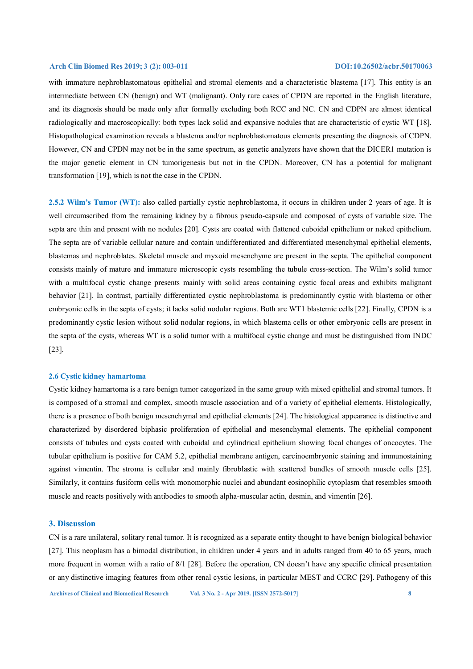with immature nephroblastomatous epithelial and stromal elements and a characteristic blastema [17]. This entity is an intermediate between CN (benign) and WT (malignant). Only rare cases of CPDN are reported in the English literature, and its diagnosis should be made only after formally excluding both RCC and NC. CN and CDPN are almost identical radiologically and macroscopically: both types lack solid and expansive nodules that are characteristic of cystic WT [18]. Histopathological examination reveals a blastema and/or nephroblastomatous elements presenting the diagnosis of CDPN. However, CN and CPDN may not be in the same spectrum, as genetic analyzers have shown that the DICER1 mutation is the major genetic element in CN tumorigenesis but not in the CPDN. Moreover, CN has a potential for malignant transformation [19], which is not the case in the CPDN.

**2.5.2 Wilm's Tumor (WT):** also called partially cystic nephroblastoma, it occurs in children under 2 years of age. It is well circumscribed from the remaining kidney by a fibrous pseudo-capsule and composed of cysts of variable size. The septa are thin and present with no nodules [20]. Cysts are coated with flattened cuboidal epithelium or naked epithelium. The septa are of variable cellular nature and contain undifferentiated and differentiated mesenchymal epithelial elements, blastemas and nephroblates. Skeletal muscle and myxoid mesenchyme are present in the septa. The epithelial component consists mainly of mature and immature microscopic cysts resembling the tubule cross-section. The Wilm's solid tumor with a multifocal cystic change presents mainly with solid areas containing cystic focal areas and exhibits malignant behavior [21]. In contrast, partially differentiated cystic nephroblastoma is predominantly cystic with blastema or other embryonic cells in the septa of cysts; it lacks solid nodular regions. Both are WT1 blastemic cells [22]. Finally, CPDN is a predominantly cystic lesion without solid nodular regions, in which blastema cells or other embryonic cells are present in the septa of the cysts, whereas WT is a solid tumor with a multifocal cystic change and must be distinguished from INDC [23].

#### **2.6 Cystic kidney hamartoma**

Cystic kidney hamartoma is a rare benign tumor categorized in the same group with mixed epithelial and stromal tumors. It is composed of a stromal and complex, smooth muscle association and of a variety of epithelial elements. Histologically, there is a presence of both benign mesenchymal and epithelial elements [24]. The histological appearance is distinctive and characterized by disordered biphasic proliferation of epithelial and mesenchymal elements. The epithelial component consists of tubules and cysts coated with cuboidal and cylindrical epithelium showing focal changes of oncocytes. The tubular epithelium is positive for CAM 5.2, epithelial membrane antigen, carcinoembryonic staining and immunostaining against vimentin. The stroma is cellular and mainly fibroblastic with scattered bundles of smooth muscle cells [25]. Similarly, it contains fusiform cells with monomorphic nuclei and abundant eosinophilic cytoplasm that resembles smooth muscle and reacts positively with antibodies to smooth alpha-muscular actin, desmin, and vimentin [26].

#### **3. Discussion**

CN is a rare unilateral, solitary renal tumor. It is recognized as a separate entity thought to have benign biological behavior [27]. This neoplasm has a bimodal distribution, in children under 4 years and in adults ranged from 40 to 65 years, much more frequent in women with a ratio of 8/1 [28]. Before the operation, CN doesn't have any specific clinical presentation or any distinctive imaging features from other renal cystic lesions, in particular MEST and CCRC [29]. Pathogeny of this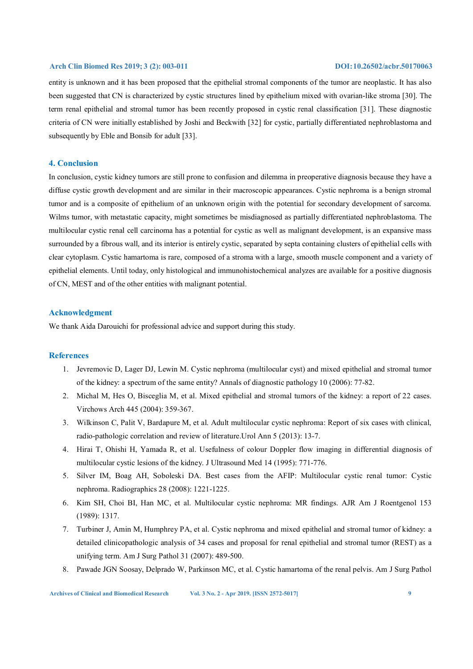entity is unknown and it has been proposed that the epithelial stromal components of the tumor are neoplastic. It has also been suggested that CN is characterized by cystic structures lined by epithelium mixed with ovarian-like stroma [30]. The term renal epithelial and stromal tumor has been recently proposed in cystic renal classification [31]. These diagnostic criteria of CN were initially established by Joshi and Beckwith [32] for cystic, partially differentiated nephroblastoma and subsequently by Eble and Bonsib for adult [33].

### **4. Conclusion**

In conclusion, cystic kidney tumors are still prone to confusion and dilemma in preoperative diagnosis because they have a diffuse cystic growth development and are similar in their macroscopic appearances. Cystic nephroma is a benign stromal tumor and is a composite of epithelium of an unknown origin with the potential for secondary development of sarcoma. Wilms tumor, with metastatic capacity, might sometimes be misdiagnosed as partially differentiated nephroblastoma. The multilocular cystic renal cell carcinoma has a potential for cystic as well as malignant development, is an expansive mass surrounded by a fibrous wall, and its interior is entirely cystic, separated by septa containing clusters of epithelial cells with clear cytoplasm. Cystic hamartoma is rare, composed of a stroma with a large, smooth muscle component and a variety of epithelial elements. Until today, only histological and immunohistochemical analyzes are available for a positive diagnosis of CN, MEST and of the other entities with malignant potential.

### **Acknowledgment**

We thank Aida Darouichi for professional advice and support during this study.

#### **References**

- 1. Jevremovic D, Lager DJ, Lewin M. Cystic nephroma (multilocular cyst) and mixed epithelial and stromal tumor of the kidney: a spectrum of the same entity? Annals of diagnostic pathology 10 (2006): 77-82.
- 2. Michal M, Hes O, Bisceglia M, et al. Mixed epithelial and stromal tumors of the kidney: a report of 22 cases. Virchows Arch 445 (2004): 359-367.
- 3. Wilkinson C, Palit V, Bardapure M, et al. Adult multilocular cystic nephroma: Report of six cases with clinical, radio-pathologic correlation and review of literature.Urol Ann 5 (2013): 13-7.
- 4. Hirai T, Ohishi H, Yamada R, et al. Usefulness of colour Doppler flow imaging in differential diagnosis of multilocular cystic lesions of the kidney. J Ultrasound Med 14 (1995): 771-776.
- 5. Silver IM, Boag AH, Soboleski DA. Best cases from the AFIP: Multilocular cystic renal tumor: Cystic nephroma. Radiographics 28 (2008): 1221-1225.
- 6. Kim SH, Choi BI, Han MC, et al. Multilocular cystic nephroma: MR findings. AJR Am J Roentgenol 153 (1989): 1317.
- 7. Turbiner J, Amin M, Humphrey PA, et al. Cystic nephroma and mixed epithelial and stromal tumor of kidney: a detailed clinicopathologic analysis of 34 cases and proposal for renal epithelial and stromal tumor (REST) as a unifying term. Am J Surg Pathol 31 (2007): 489-500.
- 8. Pawade JGN Soosay, Delprado W, Parkinson MC, et al. Cystic hamartoma of the renal pelvis. Am J Surg Pathol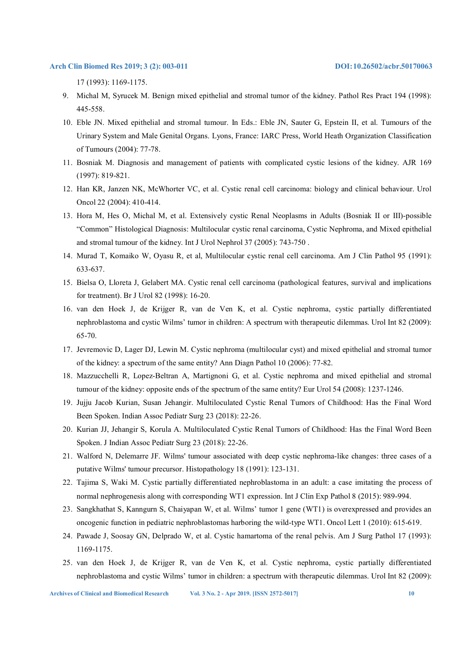17 (1993): 1169-1175.

- 9. Michal M, Syrucek M. Benign mixed epithelial and stromal tumor of the kidney. Pathol Res Pract 194 (1998): 445-558.
- 10. Eble JN. Mixed epithelial and stromal tumour. In Eds.: Eble JN, Sauter G, Epstein II, et al. Tumours of the Urinary System and Male Genital Organs. Lyons, France: IARC Press, World Heath Organization Classification of Tumours (2004): 77-78.
- 11. Bosniak M. Diagnosis and management of patients with complicated cystic lesions of the kidney. AJR 169 (1997): 819-821.
- 12. Han KR, Janzen NK, McWhorter VC, et al. Cystic renal cell carcinoma: biology and clinical behaviour. Urol Oncol 22 (2004): 410-414.
- 13. Hora M, Hes O, Michal M, et al. Extensively cystic Renal Neoplasms in Adults (Bosniak II or III)-possible "Common" Histological Diagnosis: Multilocular cystic renal carcinoma, Cystic Nephroma, and Mixed epithelial and stromal tumour of the kidney. Int J Urol Nephrol 37 (2005): 743-750 .
- 14. Murad T, Komaiko W, Oyasu R, et al, Multilocular cystic renal cell carcinoma. Am J Clin Pathol 95 (1991): 633-637.
- 15. Bielsa O, Lloreta J, Gelabert MA. Cystic renal cell carcinoma (pathological features, survival and implications for treatment). Br J Urol 82 (1998): 16-20.
- 16. van den Hoek J, de Krijger R, van de Ven K, et al. Cystic nephroma, cystic partially differentiated nephroblastoma and cystic Wilms' tumor in children: A spectrum with therapeutic dilemmas. Urol Int 82 (2009): 65-70.
- 17. Jevremovic D, Lager DJ, Lewin M. Cystic nephroma (multilocular cyst) and mixed epithelial and stromal tumor of the kidney: a spectrum of the same entity? Ann Diagn Pathol 10 (2006): 77-82.
- 18. Mazzucchelli R, Lopez-Beltran A, Martignoni G, et al. Cystic nephroma and mixed epithelial and stromal tumour of the kidney: opposite ends of the spectrum of the same entity? Eur Urol 54 (2008): 1237-1246.
- 19. Jujju Jacob Kurian, Susan Jehangir. Multiloculated Cystic Renal Tumors of Childhood: Has the Final Word Been Spoken. Indian Assoc Pediatr Surg 23 (2018): 22-26.
- 20. Kurian JJ, Jehangir S, Korula A. Multiloculated Cystic Renal Tumors of Childhood: Has the Final Word Been Spoken. J Indian Assoc Pediatr Surg 23 (2018): 22-26.
- 21. Walford N, Delemarre JF. Wilms' tumour associated with deep cystic nephroma-like changes: three cases of a putative Wilms' tumour precursor. Histopathology 18 (1991): 123-131.
- 22. Tajima S, Waki M. Cystic partially differentiated nephroblastoma in an adult: a case imitating the process of normal nephrogenesis along with corresponding WT1 expression. Int J Clin Exp Pathol 8 (2015): 989-994.
- 23. Sangkhathat S, Kanngurn S, Chaiyapan W, et al. Wilms' tumor 1 gene (WT1) is overexpressed and provides an oncogenic function in pediatric nephroblastomas harboring the wild-type WT1. Oncol Lett 1 (2010): 615-619.
- 24. Pawade J, Soosay GN, Delprado W, et al. Cystic hamartoma of the renal pelvis. Am J Surg Pathol 17 (1993): 1169-1175.
- 25. van den Hoek J, de Krijger R, van de Ven K, et al. Cystic nephroma, cystic partially differentiated nephroblastoma and cystic Wilms' tumor in children: a spectrum with therapeutic dilemmas. Urol Int 82 (2009):